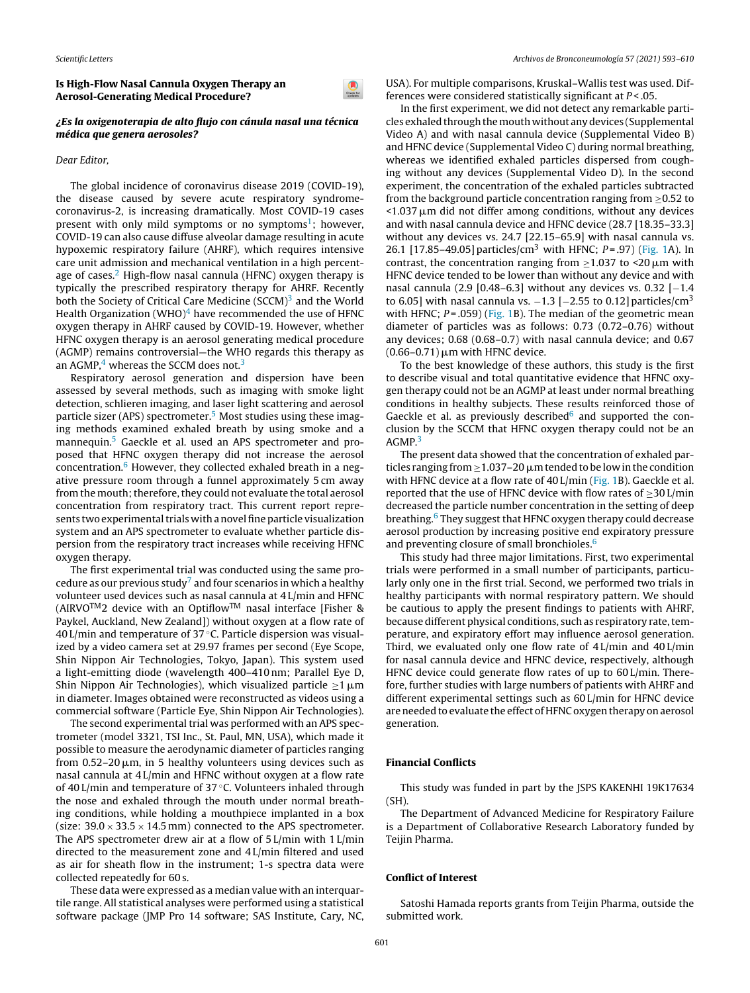# Is [High-Flow](http://refhub.elsevier.com/S0300-2896(20)30515-9/sbref0105) [Nasal](http://refhub.elsevier.com/S0300-2896(20)30515-9/sbref0105) [Cannu](http://refhub.elsevier.com/S0300-2896(20)30515-9/sbref0105)la [Oxyge](http://refhub.elsevier.com/S0300-2896(20)30515-9/sbref0105)n [Therap](http://refhub.elsevier.com/S0300-2896(20)30515-9/sbref0105)y [an](http://refhub.elsevier.com/S0300-2896(20)30515-9/sbref0105) Ae[rosol-Generating](http://refhub.elsevier.com/S0300-2896(20)30515-9/sbref0105) [Medical](http://refhub.elsevier.com/S0300-2896(20)30515-9/sbref0105) [Procedure?](http://refhub.elsevier.com/S0300-2896(20)30515-9/sbref0105)

# ¿Es [la](http://refhub.elsevier.com/S0300-2896(20)30515-9/sbref0110) o[xigenoterapia](http://refhub.elsevier.com/S0300-2896(20)30515-9/sbref0110) de [alto](http://refhub.elsevier.com/S0300-2896(20)30515-9/sbref0110) flujo [con](http://refhub.elsevier.com/S0300-2896(20)30515-9/sbref0110) c[ánula](http://refhub.elsevier.com/S0300-2896(20)30515-9/sbref0110) n[asal](http://refhub.elsevier.com/S0300-2896(20)30515-9/sbref0110) [una](http://refhub.elsevier.com/S0300-2896(20)30515-9/sbref0110) [técnica](http://refhub.elsevier.com/S0300-2896(20)30515-9/sbref0110) mé[dica](http://refhub.elsevier.com/S0300-2896(20)30515-9/sbref0110) [q](http://refhub.elsevier.com/S0300-2896(20)30515-9/sbref0115)[ue](http://refhub.elsevier.com/S0300-2896(20)30515-9/sbref0110) [genera](http://refhub.elsevier.com/S0300-2896(20)30515-9/sbref0110) [aerosoles?](http://refhub.elsevier.com/S0300-2896(20)30515-9/sbref0110)

# De[ar](http://refhub.elsevier.com/S0300-2896(20)30515-9/sbref0115) [Editor,](http://refhub.elsevier.com/S0300-2896(20)30515-9/sbref0115)

[Th](http://refhub.elsevier.com/S0300-2896(20)30515-9/sbref0125)[e](http://refhub.elsevier.com/S0300-2896(20)30515-9/sbref0120) [glo](http://refhub.elsevier.com/S0300-2896(20)30515-9/sbref0120)[bal](http://refhub.elsevier.com/S0300-2896(20)30515-9/sbref0125) i[n](http://refhub.elsevier.com/S0300-2896(20)30515-9/sbref0120)[c](http://refhub.elsevier.com/S0300-2896(20)30515-9/sbref0125)[i](http://refhub.elsevier.com/S0300-2896(20)30515-9/sbref0120)[dence](http://refhub.elsevier.com/S0300-2896(20)30515-9/sbref0125) [o](http://refhub.elsevier.com/S0300-2896(20)30515-9/sbref0125)f [cor](http://refhub.elsevier.com/S0300-2896(20)30515-9/sbref0120)[onavir](http://refhub.elsevier.com/S0300-2896(20)30515-9/sbref0125)us [disease](http://refhub.elsevier.com/S0300-2896(20)30515-9/sbref0125) 2019 [\(COVID](http://refhub.elsevier.com/S0300-2896(20)30515-9/sbref0125)-[19\),](http://refhub.elsevier.com/S0300-2896(20)30515-9/sbref0125) the [disease](http://refhub.elsevier.com/S0300-2896(20)30515-9/sbref0125) [caused](http://refhub.elsevier.com/S0300-2896(20)30515-9/sbref0125) by [sever](http://refhub.elsevier.com/S0300-2896(20)30515-9/sbref0125)e [acut](http://refhub.elsevier.com/S0300-2896(20)30515-9/sbref0125)e [resp](http://refhub.elsevier.com/S0300-2896(20)30515-9/sbref0125)i[ratory](http://refhub.elsevier.com/S0300-2896(20)30515-9/sbref0125) [sy](http://refhub.elsevier.com/S0300-2896(20)30515-9/sbref0125)n[drome](http://refhub.elsevier.com/S0300-2896(20)30515-9/sbref0125)cor[ona](http://refhub.elsevier.com/S0300-2896(20)30515-9/sbref0125)virus-2, is increasing dramatically. Most COVID-19 cases pr[esent](http://refhub.elsevier.com/S0300-2896(20)30515-9/sbref0130) [with](http://refhub.elsevier.com/S0300-2896(20)30515-9/sbref0130) [only](http://refhub.elsevier.com/S0300-2896(20)30515-9/sbref0130) [mild](http://refhub.elsevier.com/S0300-2896(20)30515-9/sbref0130) [symptoms](http://refhub.elsevier.com/S0300-2896(20)30515-9/sbref0130) or [no](http://refhub.elsevier.com/S0300-2896(20)30515-9/sbref0130) symptoms<sup>[1](#page-1-0)</sup>[;](http://refhub.elsevier.com/S0300-2896(20)30515-9/sbref0130) [however,](http://refhub.elsevier.com/S0300-2896(20)30515-9/sbref0130) CO[VID](http://refhub.elsevier.com/S0300-2896(20)30515-9/sbref0130)-19 can also [caus](http://refhub.elsevier.com/S0300-2896(20)30515-9/sbref0130)e diffuse alv[eo](http://refhub.elsevier.com/S0300-2896(20)30515-9/sbref0130)lar damage resulting in [acute](http://crossmark.crossref.org/dialog/?doi=10.1016/j.arbres.2021.01.011&domain=pdf) hypoxemic respiratory failure (AHRF), which requires intensive care unit admission and mechanical ventilation in a high percent-age of cases.<sup>[2](#page-1-0)</sup> High-flow nasal cannula (HFNC) oxygen therapy is typically the prescribed respiratory therapy for AHRF. Recently both the Society of Critic[a](#page-1-0)l Care Medicine (SCCM)<sup>3</sup> and the World Health Organization (WHO) $4$  have recommended the use of HFNC oxygen therapy in AHRF caused by COVID-19. However, wh[ether](http://crossmark.crossref.org/dialog/?doi=10.1016/j.arbres.2021.01.011&domain=pdf) HFNC oxygen therapy is an aerosol generating medical procedure (AGMP) remains controversial—the WHO regards this therapy as an AGMP, $4$  whereas the SCCM does not.<sup>[3](#page-1-0)</sup>

Respiratory aerosol generation and dispersion have been assessed by several methods, such as imaging with smoke light detection, schlieren imaging, and laser light scattering and aerosol particle sizer (APS) spectrometer.<sup>[5](#page-1-0)</sup> Most studies using these i[mag](http://crossmark.crossref.org/dialog/?doi=10.1016/j.arbres.2021.01.011&domain=pdf)ing methods examined exhaled breath by using smoke and a mannequin.<sup>[5](#page-1-0)</sup> Gaeckle et al. used an APS spectrometer and proposed that HFNC oxygen therapy did not increase the aerosol concentration. $6$  However, they collected exhaled breath in a negative pressure room through a funnel approximately 5 cm away from the mouth; therefore, they could not evaluate the total aerosol concentration from respiratory tract. This current report represents two experimental trials with a novel fine particle visualization system and an APS spectrometer to evaluate whether particle dispersion from the respiratory tract increases while receiving HFNC oxygen therapy.

The first experimental trial was conducted using the same pro-cedure as our previous study<sup>[7](#page-1-0)</sup> and four scenarios in which a healthy [volunteer](https://www.hispamed.com/) used devices such as nasal cannula at 4 L/min and HFNC (AIRVOTM2 device with an OptiflowTM nasal interface [Fisher & Paykel, Auckland, New Zealand]) without oxygen at a flow rate of 40 L/min and temperature of 37 $\degree$ C. Particle dispersion was visualized by a video camera set at 29.97 frames per second (Eye Scope, Shin Nippon Air Technologies, Tokyo, Japan). This system [used](http://crossmark.crossref.org/dialog/?doi=10.1016/j.arbres.2021.01.011&domain=pdf) a light-emitting diode (wavelength 400–410 nm; Parallel Eye D, Shin Nippon Air Technologies), which visualized particle  $\geq$ 1  $\upmu$ m in diameter. Images obtained were reconstructed as videos using a commercial software (Particle Eye, Shin Nippon Air Technologies).

The second experimental trial was performed with an APS spectro[meter](http://refhub.elsevier.com/S0300-2896(20)30515-9/sbref0070) [\(model](http://refhub.elsevier.com/S0300-2896(20)30515-9/sbref0070) 33[21,](http://refhub.elsevier.com/S0300-2896(20)30515-9/sbref0070) [TSI](http://refhub.elsevier.com/S0300-2896(20)30515-9/sbref0070) I[nc.](http://refhub.elsevier.com/S0300-2896(20)30515-9/sbref0070), [St.](http://refhub.elsevier.com/S0300-2896(20)30515-9/sbref0070) Pa[ul](http://refhub.elsevier.com/S0300-2896(20)30515-9/sbref0070), [MN,](http://refhub.elsevier.com/S0300-2896(20)30515-9/sbref0070) [US](http://refhub.elsevier.com/S0300-2896(20)30515-9/sbref0070)A), [which](http://refhub.elsevier.com/S0300-2896(20)30515-9/sbref0070) [made](http://refhub.elsevier.com/S0300-2896(20)30515-9/sbref0070) it po[ssible](http://refhub.elsevier.com/S0300-2896(20)30515-9/sbref0070) [to](http://refhub.elsevier.com/S0300-2896(20)30515-9/sbref0070) [measur](http://refhub.elsevier.com/S0300-2896(20)30515-9/sbref0070)e the [aerodynamic](http://refhub.elsevier.com/S0300-2896(20)30515-9/sbref0070) [diamet](http://refhub.elsevier.com/S0300-2896(20)30515-9/sbref0070)er of [particles](http://refhub.elsevier.com/S0300-2896(20)30515-9/sbref0070) r[anging](http://refhub.elsevier.com/S0300-2896(20)30515-9/sbref0070) from [0.5](http://refhub.elsevier.com/S0300-2896(20)30515-9/sbref0070)[2](http://refhub.elsevier.com/S0300-2896(20)30515-9/sbref0075)[–20](http://refhub.elsevier.com/S0300-2896(20)30515-9/sbref0070)  $\upmu$ m, [in](http://refhub.elsevier.com/S0300-2896(20)30515-9/sbref0070) [5](http://refhub.elsevier.com/S0300-2896(20)30515-9/sbref0070) [hea](http://refhub.elsevier.com/S0300-2896(20)30515-9/sbref0070)[l](http://refhub.elsevier.com/S0300-2896(20)30515-9/sbref0075)[thy](http://refhub.elsevier.com/S0300-2896(20)30515-9/sbref0070) [vo](http://refhub.elsevier.com/S0300-2896(20)30515-9/sbref0070)l[unte](http://refhub.elsevier.com/S0300-2896(20)30515-9/sbref0070)ers [using](http://refhub.elsevier.com/S0300-2896(20)30515-9/sbref0070) [dev](http://refhub.elsevier.com/S0300-2896(20)30515-9/sbref0070)[ices](http://refhub.elsevier.com/S0300-2896(20)30515-9/sbref0075) [such](http://refhub.elsevier.com/S0300-2896(20)30515-9/sbref0075) as na[sal](http://refhub.elsevier.com/S0300-2896(20)30515-9/sbref0075) [cannula](http://refhub.elsevier.com/S0300-2896(20)30515-9/sbref0075) at 4 [L/mi](http://refhub.elsevier.com/S0300-2896(20)30515-9/sbref0075)n [and](http://refhub.elsevier.com/S0300-2896(20)30515-9/sbref0075) HFNC [without](http://refhub.elsevier.com/S0300-2896(20)30515-9/sbref0075) [oxygen](http://refhub.elsevier.com/S0300-2896(20)30515-9/sbref0075) at a [flow](http://refhub.elsevier.com/S0300-2896(20)30515-9/sbref0075) [rate](http://refhub.elsevier.com/S0300-2896(20)30515-9/sbref0075) of 40 [L/min](http://refhub.elsevier.com/S0300-2896(20)30515-9/sbref0075) and [temperature](http://refhub.elsevier.com/S0300-2896(20)30515-9/sbref0075) [of](http://refhub.elsevier.com/S0300-2896(20)30515-9/sbref0075) 37 ◦C. Volunteers inhaled through the [nose](http://refhub.elsevier.com/S0300-2896(20)30515-9/sbref0080) [an](http://refhub.elsevier.com/S0300-2896(20)30515-9/sbref0080)d [exhale](http://refhub.elsevier.com/S0300-2896(20)30515-9/sbref0080)d [throug](http://refhub.elsevier.com/S0300-2896(20)30515-9/sbref0080)h [the](http://refhub.elsevier.com/S0300-2896(20)30515-9/sbref0080) m[outh](http://refhub.elsevier.com/S0300-2896(20)30515-9/sbref0080) u[nd](http://refhub.elsevier.com/S0300-2896(20)30515-9/sbref0080)er [normal](http://refhub.elsevier.com/S0300-2896(20)30515-9/sbref0080) [breath](http://refhub.elsevier.com/S0300-2896(20)30515-9/sbref0080)ing [conditions,](http://refhub.elsevier.com/S0300-2896(20)30515-9/sbref0080) [while](http://refhub.elsevier.com/S0300-2896(20)30515-9/sbref0080) [holding](http://refhub.elsevier.com/S0300-2896(20)30515-9/sbref0080) a [mouthpiece](http://refhub.elsevier.com/S0300-2896(20)30515-9/sbref0080) i[mplanted](http://refhub.elsevier.com/S0300-2896(20)30515-9/sbref0080) in a [box](http://refhub.elsevier.com/S0300-2896(20)30515-9/sbref0080) (si[ze:](http://refhub.elsevier.com/S0300-2896(20)30515-9/sbref0080)  $39.0 \times 33.5 \times 14.5$  $39.0 \times 33.5 \times 14.5$  $39.0 \times 33.5 \times 14.5$  $39.0 \times 33.5 \times 14.5$  $39.0 \times 33.5 \times 14.5$  [mm](http://refhub.elsevier.com/S0300-2896(20)30515-9/sbref0080)) [connected](http://refhub.elsevier.com/S0300-2896(20)30515-9/sbref0080) to the [APS](http://refhub.elsevier.com/S0300-2896(20)30515-9/sbref0080) [spectrome](http://refhub.elsevier.com/S0300-2896(20)30515-9/sbref0080)t[er.](http://refhub.elsevier.com/S0300-2896(20)30515-9/sbref0080) The [APS](http://refhub.elsevier.com/S0300-2896(20)30515-9/sbref0085) spe[ctrometer](http://refhub.elsevier.com/S0300-2896(20)30515-9/sbref0085) [drew](http://refhub.elsevier.com/S0300-2896(20)30515-9/sbref0085) [air](http://refhub.elsevier.com/S0300-2896(20)30515-9/sbref0085) [at](http://refhub.elsevier.com/S0300-2896(20)30515-9/sbref0085) a [flow](http://refhub.elsevier.com/S0300-2896(20)30515-9/sbref0085) [of](http://refhub.elsevier.com/S0300-2896(20)30515-9/sbref0085) 5 [L/min](http://refhub.elsevier.com/S0300-2896(20)30515-9/sbref0085) [with](http://refhub.elsevier.com/S0300-2896(20)30515-9/sbref0085) [1](http://refhub.elsevier.com/S0300-2896(20)30515-9/sbref0085) [L/min](http://refhub.elsevier.com/S0300-2896(20)30515-9/sbref0085) dir[ected](http://refhub.elsevier.com/S0300-2896(20)30515-9/sbref0085) to the [measureme](http://refhub.elsevier.com/S0300-2896(20)30515-9/sbref0085)nt [zone](http://refhub.elsevier.com/S0300-2896(20)30515-9/sbref0085) [an](http://refhub.elsevier.com/S0300-2896(20)30515-9/sbref0085)d 4 [L/min](http://refhub.elsevier.com/S0300-2896(20)30515-9/sbref0085) [filte](http://refhub.elsevier.com/S0300-2896(20)30515-9/sbref0085)red [and](http://refhub.elsevier.com/S0300-2896(20)30515-9/sbref0085) [used](http://refhub.elsevier.com/S0300-2896(20)30515-9/sbref0085) as air [for](http://refhub.elsevier.com/S0300-2896(20)30515-9/sbref0090) [sheath](http://refhub.elsevier.com/S0300-2896(20)30515-9/sbref0090) [flo](http://refhub.elsevier.com/S0300-2896(20)30515-9/sbref0090)w in [the](http://refhub.elsevier.com/S0300-2896(20)30515-9/sbref0090) [instrument;](http://refhub.elsevier.com/S0300-2896(20)30515-9/sbref0090) 1[-s](http://refhub.elsevier.com/S0300-2896(20)30515-9/sbref0090) [spectra](http://refhub.elsevier.com/S0300-2896(20)30515-9/sbref0090) [dat](http://refhub.elsevier.com/S0300-2896(20)30515-9/sbref0090)a [were](http://refhub.elsevier.com/S0300-2896(20)30515-9/sbref0090) col[lected](http://refhub.elsevier.com/S0300-2896(20)30515-9/sbref0090) [repeatedly](http://refhub.elsevier.com/S0300-2896(20)30515-9/sbref0090) for [60](http://refhub.elsevier.com/S0300-2896(20)30515-9/sbref0090) s.

[These](http://refhub.elsevier.com/S0300-2896(20)30515-9/sbref0090) data [wer](http://refhub.elsevier.com/S0300-2896(20)30515-9/sbref0090)e [expresse](http://refhub.elsevier.com/S0300-2896(20)30515-9/sbref0090)d [as](http://refhub.elsevier.com/S0300-2896(20)30515-9/sbref0090) a [median](http://refhub.elsevier.com/S0300-2896(20)30515-9/sbref0090) [val](http://refhub.elsevier.com/S0300-2896(20)30515-9/sbref0090)ue [with](http://refhub.elsevier.com/S0300-2896(20)30515-9/sbref0090) [an](http://refhub.elsevier.com/S0300-2896(20)30515-9/sbref0090) i[nterquar](http://refhub.elsevier.com/S0300-2896(20)30515-9/sbref0090)tile [range.](http://refhub.elsevier.com/S0300-2896(20)30515-9/sbref0095) All [statistical](http://refhub.elsevier.com/S0300-2896(20)30515-9/sbref0095) an[alyse](http://refhub.elsevier.com/S0300-2896(20)30515-9/sbref0095)s [were](http://refhub.elsevier.com/S0300-2896(20)30515-9/sbref0095) [performed](http://refhub.elsevier.com/S0300-2896(20)30515-9/sbref0095) [using](http://refhub.elsevier.com/S0300-2896(20)30515-9/sbref0095) a [statistical](http://refhub.elsevier.com/S0300-2896(20)30515-9/sbref0095) sof[tware](http://refhub.elsevier.com/S0300-2896(20)30515-9/sbref0095) [package](http://refhub.elsevier.com/S0300-2896(20)30515-9/sbref0095) ([JMP](http://refhub.elsevier.com/S0300-2896(20)30515-9/sbref0095) Pro 14 software; SAS Institute, Cary, NC, USA). For multiple comparisons, Kruskal–Wallis test was used. Differences were considered statistically significant at  $P < 0.05$ .

In [the](http://refhub.elsevier.com/S0300-2896(20)30515-9/sbref0050) [firs](http://refhub.elsevier.com/S0300-2896(20)30515-9/sbref0050)t [experiment,](http://refhub.elsevier.com/S0300-2896(20)30515-9/sbref0050) [we](http://refhub.elsevier.com/S0300-2896(20)30515-9/sbref0050) [did](http://refhub.elsevier.com/S0300-2896(20)30515-9/sbref0050) [no](http://refhub.elsevier.com/S0300-2896(20)30515-9/sbref0050)t [detect](http://refhub.elsevier.com/S0300-2896(20)30515-9/sbref0050) [any](http://refhub.elsevier.com/S0300-2896(20)30515-9/sbref0050) re[markabl](http://refhub.elsevier.com/S0300-2896(20)30515-9/sbref0050)e [parti](http://refhub.elsevier.com/S0300-2896(20)30515-9/sbref0050)cles exhaled through the mouth [withou](http://refhub.elsevier.com/S0300-2896(20)30515-9/sbref0050)t any devices [\(Supplemental](http://refhub.elsevier.com/S0300-2896(20)30515-9/sbref0050) V[ideo](http://refhub.elsevier.com/S0300-2896(20)30515-9/sbref0050) A) and [wi](http://refhub.elsevier.com/S0300-2896(20)30515-9/sbref0050)th nasal cannula device (Supplemental Video B) and [HFN](http://refhub.elsevier.com/S0300-2896(20)30515-9/sbref0055)C [devic](http://refhub.elsevier.com/S0300-2896(20)30515-9/sbref0055)e [\(Supplemental](http://refhub.elsevier.com/S0300-2896(20)30515-9/sbref0055) [Video](http://refhub.elsevier.com/S0300-2896(20)30515-9/sbref0055) [C\)](http://refhub.elsevier.com/S0300-2896(20)30515-9/sbref0055) [during](http://refhub.elsevier.com/S0300-2896(20)30515-9/sbref0055) [normal](http://refhub.elsevier.com/S0300-2896(20)30515-9/sbref0055) [breathing,](http://refhub.elsevier.com/S0300-2896(20)30515-9/sbref0055) [whereas](http://www.archbronconeumol.org) we [identified](http://refhub.elsevier.com/S0300-2896(20)30515-9/sbref0055) [exhaled](http://refhub.elsevier.com/S0300-2896(20)30515-9/sbref0055) [particles](http://refhub.elsevier.com/S0300-2896(20)30515-9/sbref0055) [dispersed](http://refhub.elsevier.com/S0300-2896(20)30515-9/sbref0055) fr[om](http://refhub.elsevier.com/S0300-2896(20)30515-9/sbref0055) c[ough](http://refhub.elsevier.com/S0300-2896(20)30515-9/sbref0055)ing [withou](http://refhub.elsevier.com/S0300-2896(20)30515-9/sbref0060)t [a](http://refhub.elsevier.com/S0300-2896(20)30515-9/sbref0060)ny [devic](http://refhub.elsevier.com/S0300-2896(20)30515-9/sbref0060)es [\(Supplemental](http://refhub.elsevier.com/S0300-2896(20)30515-9/sbref0060) [Video](http://refhub.elsevier.com/S0300-2896(20)30515-9/sbref0060) [D\).](http://refhub.elsevier.com/S0300-2896(20)30515-9/sbref0060) In [the](http://refhub.elsevier.com/S0300-2896(20)30515-9/sbref0060) s[econd](http://refhub.elsevier.com/S0300-2896(20)30515-9/sbref0060) e[xperiment,](http://refhub.elsevier.com/S0300-2896(20)30515-9/sbref0060) t[he](http://refhub.elsevier.com/S0300-2896(20)30515-9/sbref0060) [concentrati](http://refhub.elsevier.com/S0300-2896(20)30515-9/sbref0060)on of [the](http://refhub.elsevier.com/S0300-2896(20)30515-9/sbref0060) e[xha](http://refhub.elsevier.com/S0300-2896(20)30515-9/sbref0060)led [particle](http://refhub.elsevier.com/S0300-2896(20)30515-9/sbref0060)s [subtracted](http://refhub.elsevier.com/S0300-2896(20)30515-9/sbref0060) fr[om](http://refhub.elsevier.com/S0300-2896(20)30515-9/sbref0060) [the](http://refhub.elsevier.com/S0300-2896(20)30515-9/sbref0060) [background](http://refhub.elsevier.com/S0300-2896(20)30515-9/sbref0060) [partic](http://refhub.elsevier.com/S0300-2896(20)30515-9/sbref0060)le [concentrat](http://refhub.elsevier.com/S0300-2896(20)30515-9/sbref0060)ion [ranging](http://refhub.elsevier.com/S0300-2896(20)30515-9/sbref0060) from >[0.52](http://refhub.elsevier.com/S0300-2896(20)30515-9/sbref0060) to  $\le$ [1.037](http://refhub.elsevier.com/S0300-2896(20)30515-9/sbref0065)  $\mu$ m [di](http://refhub.elsevier.com/S0300-2896(20)30515-9/sbref0065)d not [differ](http://refhub.elsevier.com/S0300-2896(20)30515-9/sbref0065) [amon](http://refhub.elsevier.com/S0300-2896(20)30515-9/sbref0065)g [conditions,](mailto:nathaliepinos@hotmail.com) [witho](http://refhub.elsevier.com/S0300-2896(20)30515-9/sbref0065)ut [any](http://refhub.elsevier.com/S0300-2896(20)30515-9/sbref0065) [devices](http://refhub.elsevier.com/S0300-2896(20)30515-9/sbref0065) and [with](http://refhub.elsevier.com/S0300-2896(20)30515-9/sbref0065) [nasal](http://refhub.elsevier.com/S0300-2896(20)30515-9/sbref0065) ca[nnu](http://refhub.elsevier.com/S0300-2896(20)30515-9/sbref0065)la [device](http://refhub.elsevier.com/S0300-2896(20)30515-9/sbref0065) a[nd](http://refhub.elsevier.com/S0300-2896(20)30515-9/sbref0065) [HFNC](http://refhub.elsevier.com/S0300-2896(20)30515-9/sbref0065) [device](http://refhub.elsevier.com/S0300-2896(20)30515-9/sbref0065) (28.7 [\[18.35–33.3\]](http://refhub.elsevier.com/S0300-2896(20)30515-9/sbref0065) [without](https://doi.org/10.1016/j.arbres.2020.12.005) any [devices](http://refhub.elsevier.com/S0300-2896(20)30515-9/sbref0065) vs. 24.7 [\[22.15–65.9\]](http://refhub.elsevier.com/S0300-2896(20)30515-9/sbref0065) [with](http://refhub.elsevier.com/S0300-2896(20)30515-9/sbref0065) [nasal](http://refhub.elsevier.com/S0300-2896(20)30515-9/sbref0065) [cannula](http://refhub.elsevier.com/S0300-2896(20)30515-9/sbref0065) vs. 26.1 [\[17.85–49.05\]](http://refhub.elsevier.com/S0300-2896(20)30515-9/sbref0070) [particles/cm](http://refhub.elsevier.com/S0300-2896(20)30515-9/sbref0070)<sup>3</sup> wi[th](http://refhub.elsevier.com/S0300-2896(20)30515-9/sbref0070) [HFNC](http://refhub.elsevier.com/S0300-2896(20)30515-9/sbref0070);  $P = .97$  $P = .97$  $P = .97$ ) [\(](http://refhub.elsevier.com/S0300-2896(20)30515-9/sbref0070)[Fig.](#page-1-0) 1A). [In](http://refhub.elsevier.com/S0300-2896(20)30515-9/sbref0070) c[ontras](http://refhub.elsevier.com/S0300-2896(20)30515-9/sbref0070)t, the [concentration](http://refhub.elsevier.com/S0300-2896(20)30515-9/sbref0070) r[anging](http://refhub.elsevier.com/S0300-2896(20)30515-9/sbref0070) [from](http://refhub.elsevier.com/S0300-2896(20)30515-9/sbref0070)  $\geq$ 1.0[37](http://refhub.elsevier.com/S0300-2896(20)30515-9/sbref0070) to [<20](http://refhub.elsevier.com/S0300-2896(20)30515-9/sbref0070)  $\mu$  $\mu$  $\mu$ m [with](http://refhub.elsevier.com/S0300-2896(20)30515-9/sbref0070) H[FN](http://refhub.elsevier.com/S0300-2896(20)30515-9/sbref0070)[C](http://refhub.elsevier.com/S0300-2896(20)30515-9/sbref0075) [device](http://refhub.elsevier.com/S0300-2896(20)30515-9/sbref0070) t[en](http://refhub.elsevier.com/S0300-2896(20)30515-9/sbref0075)[de](http://refhub.elsevier.com/S0300-2896(20)30515-9/sbref0070)[d](http://refhub.elsevier.com/S0300-2896(20)30515-9/sbref0075) to be [lower](http://refhub.elsevier.com/S0300-2896(20)30515-9/sbref0075) t[han](http://refhub.elsevier.com/S0300-2896(20)30515-9/sbref0075) wit[hout](http://refhub.elsevier.com/S0300-2896(20)30515-9/sbref0075) any [device](http://refhub.elsevier.com/S0300-2896(20)30515-9/sbref0075) and [with](http://refhub.elsevier.com/S0300-2896(20)30515-9/sbref0075) n[asal](http://refhub.elsevier.com/S0300-2896(20)30515-9/sbref0075) [cannula](http://refhub.elsevier.com/S0300-2896(20)30515-9/sbref0075) [\(2.9](http://refhub.elsevier.com/S0300-2896(20)30515-9/sbref0075) [0[.48–6.3\]](http://refhub.elsevier.com/S0300-2896(20)30515-9/sbref0075) [without](http://refhub.elsevier.com/S0300-2896(20)30515-9/sbref0075) [an](http://refhub.elsevier.com/S0300-2896(20)30515-9/sbref0075)y [device](http://refhub.elsevier.com/S0300-2896(20)30515-9/sbref0075)s vs. [0.32](http://refhub.elsevier.com/S0300-2896(20)30515-9/sbref0075) [ $-1.4$  $-1.4$ ] to [6.0](http://refhub.elsevier.com/S0300-2896(20)30515-9/sbref0075)5] [with](http://refhub.elsevier.com/S0300-2896(20)30515-9/sbref0075) [nasal](http://refhub.elsevier.com/S0300-2896(20)30515-9/sbref0075) [cannula](mailto:lcampos@separ.es) vs.  $-1.3$  $-1.3$  [\[](http://refhub.elsevier.com/S0300-2896(20)30515-9/sbref0075) $-2.55$  to 0.12] particles/cm<sup>3</sup> w[ith](http://refhub.elsevier.com/S0300-2896(20)30515-9/sbref0080) [HFNC;](http://refhub.elsevier.com/S0300-2896(20)30515-9/sbref0080)  $P = .059$ ) [\(](http://refhub.elsevier.com/S0300-2896(20)30515-9/sbref0080)[Fig.](#page-1-0) [1B\).](http://refhub.elsevier.com/S0300-2896(20)30515-9/sbref0080) [The](http://refhub.elsevier.com/S0300-2896(20)30515-9/sbref0080) [median](http://refhub.elsevier.com/S0300-2896(20)30515-9/sbref0080) [of](http://refhub.elsevier.com/S0300-2896(20)30515-9/sbref0080) [the](http://refhub.elsevier.com/S0300-2896(20)30515-9/sbref0080) [geometric](http://refhub.elsevier.com/S0300-2896(20)30515-9/sbref0080) [mean](http://refhub.elsevier.com/S0300-2896(20)30515-9/sbref0080) [diameter](https://doi.org/10.1016/j.arbres.2020.12.037) [o](http://refhub.elsevier.com/S0300-2896(20)30515-9/sbref0080)f [particles](http://refhub.elsevier.com/S0300-2896(20)30515-9/sbref0080) [was](http://refhub.elsevier.com/S0300-2896(20)30515-9/sbref0080) as [follows:](http://refhub.elsevier.com/S0300-2896(20)30515-9/sbref0080) [0.7](http://refhub.elsevier.com/S0300-2896(20)30515-9/sbref0080)3 [\(0.72–0.76\)](http://refhub.elsevier.com/S0300-2896(20)30515-9/sbref0080) [without](http://refhub.elsevier.com/S0300-2896(20)30515-9/sbref0080) a[ny](http://refhub.elsevier.com/S0300-2896(20)30515-9/sbref0085) d[evices;](http://refhub.elsevier.com/S0300-2896(20)30515-9/sbref0085) 0.68 [\(0.68–0.7\)](http://refhub.elsevier.com/S0300-2896(20)30515-9/sbref0085) [with](http://refhub.elsevier.com/S0300-2896(20)30515-9/sbref0085) [na](http://refhub.elsevier.com/S0300-2896(20)30515-9/sbref0085)sal [cannula](http://refhub.elsevier.com/S0300-2896(20)30515-9/sbref0085) [device;](http://refhub.elsevier.com/S0300-2896(20)30515-9/sbref0085) and [0.67](http://refhub.elsevier.com/S0300-2896(20)30515-9/sbref0085)  $(0.66 - 0.71)$  µm [with](http://refhub.elsevier.com/S0300-2896(20)30515-9/sbref0085) [HFN](http://refhub.elsevier.com/S0300-2896(20)30515-9/sbref0085)C [device](http://refhub.elsevier.com/S0300-2896(20)30515-9/sbref0085).

[To](http://refhub.elsevier.com/S0300-2896(20)30515-9/sbref0090) the [best](http://refhub.elsevier.com/S0300-2896(20)30515-9/sbref0090) [knowledge](http://refhub.elsevier.com/S0300-2896(20)30515-9/sbref0090) of [these](http://refhub.elsevier.com/S0300-2896(20)30515-9/sbref0090) [authors,](http://refhub.elsevier.com/S0300-2896(20)30515-9/sbref0090) [this](http://refhub.elsevier.com/S0300-2896(20)30515-9/sbref0090) [study](http://refhub.elsevier.com/S0300-2896(20)30515-9/sbref0090) is [the](http://refhub.elsevier.com/S0300-2896(20)30515-9/sbref0090) [first](http://refhub.elsevier.com/S0300-2896(20)30515-9/sbref0090) to [describe](http://refhub.elsevier.com/S0300-2896(20)30515-9/sbref0090) [vis](http://refhub.elsevier.com/S0300-2896(20)30515-9/sbref0090)ual and total quantitative evidence that HFNC oxygen therapy could not be an AGMP at least under normal breathing conditions in healthy subjects. These results reinforced those of Gaeckle et al. as previously described $6$  and supported the conclusion by the SCCM that HFNC oxygen therapy could not be an AGMP.<sup>[3](#page-1-0)</sup>

The present data showed that the concentration of exhaled particles ranging from  $\geq$  1.037–20  $\mu$ m tended to be low in the condition with HFNC device at a flow rate of 40 L/min [\(Fig.](#page-1-0) 1B). Gaeckle et al. reported that the use of HFNC device with flow rates of  $\geq$ 30 L/min de[creased](http://refhub.elsevier.com/S0300-2896(20)30515-9/sbref0100) [the](http://refhub.elsevier.com/S0300-2896(20)30515-9/sbref0100) [particle](http://refhub.elsevier.com/S0300-2896(20)30515-9/sbref0100) [number](http://refhub.elsevier.com/S0300-2896(20)30515-9/sbref0100) c[oncentratio](http://refhub.elsevier.com/S0300-2896(20)30515-9/sbref0100)n [in](http://refhub.elsevier.com/S0300-2896(20)30515-9/sbref0100) t[he](http://refhub.elsevier.com/S0300-2896(20)30515-9/sbref0100) [setting](http://refhub.elsevier.com/S0300-2896(20)30515-9/sbref0100) of [deep](http://refhub.elsevier.com/S0300-2896(20)30515-9/sbref0100) br[eathing](http://refhub.elsevier.com/S0300-2896(20)30515-9/sbref0100).<sup>6</sup> [They](http://refhub.elsevier.com/S0300-2896(20)30515-9/sbref0100) suggest that [HFN](http://refhub.elsevier.com/S0300-2896(20)30515-9/sbref0100)C [oxyg](http://refhub.elsevier.com/S0300-2896(20)30515-9/sbref0100)[en](http://refhub.elsevier.com/S0300-2896(20)30515-9/sbref0050) [therap](http://refhub.elsevier.com/S0300-2896(20)30515-9/sbref0100)[y](http://refhub.elsevier.com/S0300-2896(20)30515-9/sbref0050) [could](http://refhub.elsevier.com/S0300-2896(20)30515-9/sbref0100) [de](http://refhub.elsevier.com/S0300-2896(20)30515-9/sbref0050)cr[ease](http://refhub.elsevier.com/S0300-2896(20)30515-9/sbref0100) a[er](http://refhub.elsevier.com/S0300-2896(20)30515-9/sbref0050)[osol](http://refhub.elsevier.com/S0300-2896(20)30515-9/sbref0135) p[r](http://refhub.elsevier.com/S0300-2896(20)30515-9/sbref0050)[od](http://refhub.elsevier.com/S0300-2896(20)30515-9/sbref0135)[u](http://refhub.elsevier.com/S0300-2896(20)30515-9/sbref0050)[ctio](http://refhub.elsevier.com/S0300-2896(20)30515-9/sbref0135)[n](http://refhub.elsevier.com/S0300-2896(20)30515-9/sbref0050) [b](http://refhub.elsevier.com/S0300-2896(20)30515-9/sbref0135)[y](http://refhub.elsevier.com/S0300-2896(20)30515-9/sbref0050) [increas](http://refhub.elsevier.com/S0300-2896(20)30515-9/sbref0135)[ing](http://refhub.elsevier.com/S0300-2896(20)30515-9/sbref0050) [positive](http://refhub.elsevier.com/S0300-2896(20)30515-9/sbref0135) [end](http://refhub.elsevier.com/S0300-2896(20)30515-9/sbref0050) [expi](http://refhub.elsevier.com/S0300-2896(20)30515-9/sbref0135)[rat](http://refhub.elsevier.com/S0300-2896(20)30515-9/sbref0050)[o](http://refhub.elsevier.com/S0300-2896(20)30515-9/sbref0135)ry [pressure](http://refhub.elsevier.com/S0300-2896(20)30515-9/sbref0135) and [preventin](http://refhub.elsevier.com/S0300-2896(20)30515-9/sbref0050)[g](http://refhub.elsevier.com/S0300-2896(20)30515-9/sbref0135) [closure](mailto:lopezcampos@separ.es) [o](http://refhub.elsevier.com/S0300-2896(20)30515-9/sbref0110)[f](http://refhub.elsevier.com/S0300-2896(20)30515-9/sbref0050) [sm](http://refhub.elsevier.com/S0300-2896(20)30515-9/sbref0050)[a](http://refhub.elsevier.com/S0300-2896(20)30515-9/sbref0110)[ll](http://refhub.elsevier.com/S0300-2896(20)30515-9/sbref0135) [bronchioles.](http://refhub.elsevier.com/S0300-2896(20)30515-9/sbref0110)<sup>[6](#page-1-0)</sup>

[This](http://refhub.elsevier.com/S0300-2896(20)30515-9/sbref0055) s[tud](http://refhub.elsevier.com/S0300-2896(20)30515-9/sbref0055)[y](http://refhub.elsevier.com/S0300-2896(20)30515-9/sbref0110) [had](http://refhub.elsevier.com/S0300-2896(20)30515-9/sbref0110) t[hr](http://refhub.elsevier.com/S0300-2896(20)30515-9/sbref0055)[ee](http://refhub.elsevier.com/S0300-2896(20)30515-9/sbref0110) [m](http://refhub.elsevier.com/S0300-2896(20)30515-9/sbref0055)[ajo](http://refhub.elsevier.com/S0300-2896(20)30515-9/sbref0110)[r](http://refhub.elsevier.com/S0300-2896(20)30515-9/sbref0055) l[im](http://refhub.elsevier.com/S0300-2896(20)30515-9/sbref0055)[ita](http://refhub.elsevier.com/S0300-2896(20)30515-9/sbref0110)[t](http://refhub.elsevier.com/S0300-2896(20)30515-9/sbref0055)[ions](http://refhub.elsevier.com/S0300-2896(20)30515-9/sbref0110). [Firs](http://refhub.elsevier.com/S0300-2896(20)30515-9/sbref0110)[t](http://refhub.elsevier.com/S0300-2896(20)30515-9/sbref0055)[,](http://refhub.elsevier.com/S0300-2896(20)30515-9/sbref0110) [two](http://refhub.elsevier.com/S0300-2896(20)30515-9/sbref0055) [expe](http://refhub.elsevier.com/S0300-2896(20)30515-9/sbref0110)[r](http://refhub.elsevier.com/S0300-2896(20)30515-9/sbref0055)[imental](http://refhub.elsevier.com/S0300-2896(20)30515-9/sbref0110) tr[ia](http://refhub.elsevier.com/S0300-2896(20)30515-9/sbref0055)[ls](http://refhub.elsevier.com/S0300-2896(20)30515-9/sbref0110) [w](http://refhub.elsevier.com/S0300-2896(20)30515-9/sbref0055)[er](http://refhub.elsevier.com/S0300-2896(20)30515-9/sbref0110)e [perf](http://refhub.elsevier.com/S0300-2896(20)30515-9/sbref0110)[o](https://doi.org/10.1016/j.arbres.2020.10.022)[rmed](http://refhub.elsevier.com/S0300-2896(20)30515-9/sbref0110) [in](http://refhub.elsevier.com/S0300-2896(20)30515-9/sbref0055) a [small](http://refhub.elsevier.com/S0300-2896(20)30515-9/sbref0110) [numbe](http://refhub.elsevier.com/S0300-2896(20)30515-9/sbref0055)r of [participa](http://refhub.elsevier.com/S0300-2896(20)30515-9/sbref0055)nts, [particu](http://refhub.elsevier.com/S0300-2896(20)30515-9/sbref0055)larly [only](http://refhub.elsevier.com/S0300-2896(20)30515-9/sbref0055) [on](http://refhub.elsevier.com/S0300-2896(20)30515-9/sbref0115)[e](http://refhub.elsevier.com/S0300-2896(20)30515-9/sbref0055) [i](http://refhub.elsevier.com/S0300-2896(20)30515-9/sbref0055)[n](http://refhub.elsevier.com/S0300-2896(20)30515-9/sbref0115) the [first](http://refhub.elsevier.com/S0300-2896(20)30515-9/sbref0115) t[rial.](http://refhub.elsevier.com/S0300-2896(20)30515-9/sbref0115) [Second,](http://refhub.elsevier.com/S0300-2896(20)30515-9/sbref0115) [w](http://refhub.elsevier.com/S0300-2896(20)30515-9/sbref0115)e [performed](http://refhub.elsevier.com/S0300-2896(20)30515-9/sbref0115) [two](http://refhub.elsevier.com/S0300-2896(20)30515-9/sbref0115) [trial](http://refhub.elsevier.com/S0300-2896(20)30515-9/sbref0115)s [in](http://refhub.elsevier.com/S0300-2896(20)30515-9/sbref0115) h[ealthy](http://refhub.elsevier.com/S0300-2896(20)30515-9/sbref0060) [partici](http://refhub.elsevier.com/S0300-2896(20)30515-9/sbref0115)[pants](http://refhub.elsevier.com/S0300-2896(20)30515-9/sbref0060) [with](http://refhub.elsevier.com/S0300-2896(20)30515-9/sbref0115) [n](http://refhub.elsevier.com/S0300-2896(20)30515-9/sbref0060)[orm](http://refhub.elsevier.com/S0300-2896(20)30515-9/sbref0115)al [respi](http://refhub.elsevier.com/S0300-2896(20)30515-9/sbref0115)[r](http://refhub.elsevier.com/S0300-2896(20)30515-9/sbref0060)[atory](http://refhub.elsevier.com/S0300-2896(20)30515-9/sbref0115) [patte](http://refhub.elsevier.com/S0300-2896(20)30515-9/sbref0060)[r](http://refhub.elsevier.com/S0300-2896(20)30515-9/sbref0115)[n.](http://refhub.elsevier.com/S0300-2896(20)30515-9/sbref0060) We [should](http://refhub.elsevier.com/S0300-2896(20)30515-9/sbref0060) b[e](http://refhub.elsevier.com/S0300-2896(20)30515-9/sbref0060) [cauti](http://refhub.elsevier.com/S0300-2896(20)30515-9/sbref0120)[o](http://refhub.elsevier.com/S0300-2896(20)30515-9/sbref0060)[u](http://refhub.elsevier.com/S0300-2896(20)30515-9/sbref0120)[s](http://refhub.elsevier.com/S0300-2896(20)30515-9/sbref0060) [to](http://refhub.elsevier.com/S0300-2896(20)30515-9/sbref0120) [app](http://refhub.elsevier.com/S0300-2896(20)30515-9/sbref0120)[ly](http://refhub.elsevier.com/S0300-2896(20)30515-9/sbref0060) [the](http://refhub.elsevier.com/S0300-2896(20)30515-9/sbref0120) [p](http://refhub.elsevier.com/S0300-2896(20)30515-9/sbref0060)[re](http://refhub.elsevier.com/S0300-2896(20)30515-9/sbref0120)[s](http://refhub.elsevier.com/S0300-2896(20)30515-9/sbref0060)[ent](http://refhub.elsevier.com/S0300-2896(20)30515-9/sbref0120) [findings](http://refhub.elsevier.com/S0300-2896(20)30515-9/sbref0120) to [p](http://refhub.elsevier.com/S0300-2896(20)30515-9/sbref0120)[a](http://refhub.elsevier.com/S0300-2896(20)30515-9/sbref0060)[tients](http://refhub.elsevier.com/S0300-2896(20)30515-9/sbref0120) [with](http://refhub.elsevier.com/S0300-2896(20)30515-9/sbref0060) [AHR](http://refhub.elsevier.com/S0300-2896(20)30515-9/sbref0120)[F](http://refhub.elsevier.com/S0300-2896(20)30515-9/sbref0060)[,](http://refhub.elsevier.com/S0300-2896(20)30515-9/sbref0120) b[ecause](http://refhub.elsevier.com/S0300-2896(20)30515-9/sbref0065) [di](http://refhub.elsevier.com/S0300-2896(20)30515-9/sbref0065)[f](http://refhub.elsevier.com/S0300-2896(20)30515-9/sbref0120)[ferent](http://refhub.elsevier.com/S0300-2896(20)30515-9/sbref0065) [p](http://refhub.elsevier.com/S0300-2896(20)30515-9/sbref0120)[h](http://refhub.elsevier.com/S0300-2896(20)30515-9/sbref0120)[y](http://refhub.elsevier.com/S0300-2896(20)30515-9/sbref0120)[sical](http://refhub.elsevier.com/S0300-2896(20)30515-9/sbref0065) c[on](http://refhub.elsevier.com/S0300-2896(20)30515-9/sbref0120)di[t](http://refhub.elsevier.com/S0300-2896(20)30515-9/sbref0065)[i](http://refhub.elsevier.com/S0300-2896(20)30515-9/sbref0065)on[s,](http://refhub.elsevier.com/S0300-2896(20)30515-9/sbref0065) su[c](http://refhub.elsevier.com/S0300-2896(20)30515-9/sbref0065)h as [respir](http://refhub.elsevier.com/S0300-2896(20)30515-9/sbref0065)[a](http://refhub.elsevier.com/S0300-2896(20)30515-9/sbref0120)t[o](http://refhub.elsevier.com/S0300-2896(20)30515-9/sbref0120)[r](http://refhub.elsevier.com/S0300-2896(20)30515-9/sbref0065)y rate, te[m](http://refhub.elsevier.com/S0300-2896(20)30515-9/sbref0120)p[er](http://refhub.elsevier.com/S0300-2896(20)30515-9/sbref0065)[a](http://refhub.elsevier.com/S0300-2896(20)30515-9/sbref0125)[t](http://refhub.elsevier.com/S0300-2896(20)30515-9/sbref0065)[ure](http://refhub.elsevier.com/S0300-2896(20)30515-9/sbref0125)[,](http://refhub.elsevier.com/S0300-2896(20)30515-9/sbref0120) [and](http://refhub.elsevier.com/S0300-2896(20)30515-9/sbref0065) [expiratory](http://refhub.elsevier.com/S0300-2896(20)30515-9/sbref0065) [effor](http://refhub.elsevier.com/S0300-2896(20)30515-9/sbref0125)[t](http://refhub.elsevier.com/S0300-2896(20)30515-9/sbref0065) [may](http://refhub.elsevier.com/S0300-2896(20)30515-9/sbref0065) [i](http://refhub.elsevier.com/S0300-2896(20)30515-9/sbref0065)[n](http://refhub.elsevier.com/S0300-2896(20)30515-9/sbref0125)[flue](http://refhub.elsevier.com/S0300-2896(20)30515-9/sbref0065)[nce](http://refhub.elsevier.com/S0300-2896(20)30515-9/sbref0125) [aer](http://refhub.elsevier.com/S0300-2896(20)30515-9/sbref0065)[o](http://refhub.elsevier.com/S0300-2896(20)30515-9/sbref0125)[s](http://refhub.elsevier.com/S0300-2896(20)30515-9/sbref0065)[ol](http://refhub.elsevier.com/S0300-2896(20)30515-9/sbref0125) [g](http://refhub.elsevier.com/S0300-2896(20)30515-9/sbref0065)[e](http://refhub.elsevier.com/S0300-2896(20)30515-9/sbref0125)[neration.](http://refhub.elsevier.com/S0300-2896(20)30515-9/sbref0065) T[hi](http://refhub.elsevier.com/S0300-2896(20)30515-9/sbref0070)[rd,](http://refhub.elsevier.com/S0300-2896(20)30515-9/sbref0125) [w](http://refhub.elsevier.com/S0300-2896(20)30515-9/sbref0070)e [ev](http://refhub.elsevier.com/S0300-2896(20)30515-9/sbref0125)[a](http://refhub.elsevier.com/S0300-2896(20)30515-9/sbref0065)[luated](http://refhub.elsevier.com/S0300-2896(20)30515-9/sbref0125) [onl](http://refhub.elsevier.com/S0300-2896(20)30515-9/sbref0070)[y](http://refhub.elsevier.com/S0300-2896(20)30515-9/sbref0125) [on](http://refhub.elsevier.com/S0300-2896(20)30515-9/sbref0070)e [flo](http://refhub.elsevier.com/S0300-2896(20)30515-9/sbref0125)[w](http://refhub.elsevier.com/S0300-2896(20)30515-9/sbref0070) [ra](http://refhub.elsevier.com/S0300-2896(20)30515-9/sbref0125)[t](http://refhub.elsevier.com/S0300-2896(20)30515-9/sbref0070)e [of](http://refhub.elsevier.com/S0300-2896(20)30515-9/sbref0125) 4 [L/min](http://refhub.elsevier.com/S0300-2896(20)30515-9/sbref0125) [and](http://refhub.elsevier.com/S0300-2896(20)30515-9/sbref0070) [40](http://refhub.elsevier.com/S0300-2896(20)30515-9/sbref0125) [L/min](http://refhub.elsevier.com/S0300-2896(20)30515-9/sbref0125) for [nasal](http://refhub.elsevier.com/S0300-2896(20)30515-9/sbref0070) [ca](http://refhub.elsevier.com/S0300-2896(20)30515-9/sbref0125)[nnula](http://refhub.elsevier.com/S0300-2896(20)30515-9/sbref0070) [device](http://refhub.elsevier.com/S0300-2896(20)30515-9/sbref0070) and [HFNC](http://refhub.elsevier.com/S0300-2896(20)30515-9/sbref0070) d[evice](http://refhub.elsevier.com/S0300-2896(20)30515-9/sbref0070)[,](http://refhub.elsevier.com/S0300-2896(20)30515-9/sbref0130) [respectively,](http://refhub.elsevier.com/S0300-2896(20)30515-9/sbref0070) [although](http://refhub.elsevier.com/S0300-2896(20)30515-9/sbref0070) H[FNC](http://refhub.elsevier.com/S0300-2896(20)30515-9/sbref0070) [dev](http://refhub.elsevier.com/S0300-2896(20)30515-9/sbref0130)[ice](http://refhub.elsevier.com/S0300-2896(20)30515-9/sbref0070) [co](http://refhub.elsevier.com/S0300-2896(20)30515-9/sbref0070)[ul](http://refhub.elsevier.com/S0300-2896(20)30515-9/sbref0130)[d](http://refhub.elsevier.com/S0300-2896(20)30515-9/sbref0070) [g](http://refhub.elsevier.com/S0300-2896(20)30515-9/sbref0130)[ener](http://refhub.elsevier.com/S0300-2896(20)30515-9/sbref0070)[a](http://refhub.elsevier.com/S0300-2896(20)30515-9/sbref0130)[te](http://refhub.elsevier.com/S0300-2896(20)30515-9/sbref0070) flow [rates](http://refhub.elsevier.com/S0300-2896(20)30515-9/sbref0070) [of](http://refhub.elsevier.com/S0300-2896(20)30515-9/sbref0130) [up](http://refhub.elsevier.com/S0300-2896(20)30515-9/sbref0070) to 60 [L/min.](http://refhub.elsevier.com/S0300-2896(20)30515-9/sbref0130) [There](http://refhub.elsevier.com/S0300-2896(20)30515-9/sbref0130)f[ore,](http://refhub.elsevier.com/S0300-2896(20)30515-9/sbref0075) [further](http://refhub.elsevier.com/S0300-2896(20)30515-9/sbref0130) [s](http://refhub.elsevier.com/S0300-2896(20)30515-9/sbref0075)[tudies](http://refhub.elsevier.com/S0300-2896(20)30515-9/sbref0130) [wit](http://refhub.elsevier.com/S0300-2896(20)30515-9/sbref0075)[h](http://refhub.elsevier.com/S0300-2896(20)30515-9/sbref0130) la[rg](http://refhub.elsevier.com/S0300-2896(20)30515-9/sbref0075)e [numbers](http://refhub.elsevier.com/S0300-2896(20)30515-9/sbref0075) of [patients](http://refhub.elsevier.com/S0300-2896(20)30515-9/sbref0075) [with](http://refhub.elsevier.com/S0300-2896(20)30515-9/sbref0075) AHRF [and](http://refhub.elsevier.com/S0300-2896(20)30515-9/sbref0075) d[iffere](http://refhub.elsevier.com/S0300-2896(20)30515-9/sbref0075)nt [experiment](http://refhub.elsevier.com/S0300-2896(20)30515-9/sbref0075)al [settings](http://refhub.elsevier.com/S0300-2896(20)30515-9/sbref0075) s[uch](http://refhub.elsevier.com/S0300-2896(20)30515-9/sbref0075) as 60 [L/min](http://refhub.elsevier.com/S0300-2896(20)30515-9/sbref0075) [for](http://refhub.elsevier.com/S0300-2896(20)30515-9/sbref0075) [HFNC](http://refhub.elsevier.com/S0300-2896(20)30515-9/sbref0075) [device](http://refhub.elsevier.com/S0300-2896(20)30515-9/sbref0075) are [needed](http://refhub.elsevier.com/S0300-2896(20)30515-9/sbref0075) to [evaluate](http://refhub.elsevier.com/S0300-2896(20)30515-9/sbref0075) t[he](http://refhub.elsevier.com/S0300-2896(20)30515-9/sbref0075) effect of HFNC oxygen therapy on aerosol g[eneration.](http://refhub.elsevier.com/S0300-2896(20)30515-9/sbref0080)

# Fi[na](http://refhub.elsevier.com/S0300-2896(20)30515-9/sbref0085)[n](http://refhub.elsevier.com/S0300-2896(20)30515-9/sbref0070)[cial](http://refhub.elsevier.com/S0300-2896(20)30515-9/sbref0085) [C](http://refhub.elsevier.com/S0300-2896(20)30515-9/sbref0070)[onfl](http://refhub.elsevier.com/S0300-2896(20)30515-9/sbref0085)[ict](http://refhub.elsevier.com/S0300-2896(20)30515-9/sbref0070)[s](http://refhub.elsevier.com/S0300-2896(20)30515-9/sbref0085)

[This](http://refhub.elsevier.com/S0300-2896(20)30515-9/sbref0090) [study](http://refhub.elsevier.com/S0300-2896(20)30515-9/sbref0080) [w](http://refhub.elsevier.com/S0300-2896(20)30515-9/sbref0090)[as](http://refhub.elsevier.com/S0300-2896(20)30515-9/sbref0080) [fund](http://refhub.elsevier.com/S0300-2896(20)30515-9/sbref0080)[ed](http://refhub.elsevier.com/S0300-2896(20)30515-9/sbref0090) [in](http://refhub.elsevier.com/S0300-2896(20)30515-9/sbref0080) [p](http://refhub.elsevier.com/S0300-2896(20)30515-9/sbref0090)[ar](http://refhub.elsevier.com/S0300-2896(20)30515-9/sbref0080)t [by](http://refhub.elsevier.com/S0300-2896(20)30515-9/sbref0080) [th](http://refhub.elsevier.com/S0300-2896(20)30515-9/sbref0090)[e](http://refhub.elsevier.com/S0300-2896(20)30515-9/sbref0080) [JSPS](http://refhub.elsevier.com/S0300-2896(20)30515-9/sbref0080) KA[KENHI](http://refhub.elsevier.com/S0300-2896(20)30515-9/sbref0080) [19K](http://refhub.elsevier.com/S0300-2896(20)30515-9/sbref0090)[17634](http://refhub.elsevier.com/S0300-2896(20)30515-9/sbref0080)  $(SH)$ .

[The](http://refhub.elsevier.com/S0300-2896(20)30515-9/sbref0085) [Department](http://refhub.elsevier.com/S0300-2896(20)30515-9/sbref0085) [of](http://refhub.elsevier.com/S0300-2896(20)30515-9/sbref0085) A[dvan](http://refhub.elsevier.com/S0300-2896(20)30515-9/sbref0085)ced [Medicine](http://refhub.elsevier.com/S0300-2896(20)30515-9/sbref0085) [for](http://refhub.elsevier.com/S0300-2896(20)30515-9/sbref0085) Re[spiratory](http://refhub.elsevier.com/S0300-2896(20)30515-9/sbref0085) [Failure](http://refhub.elsevier.com/S0300-2896(20)30515-9/sbref0085) is a [Departme](http://refhub.elsevier.com/S0300-2896(20)30515-9/sbref0085)nt [of](http://refhub.elsevier.com/S0300-2896(20)30515-9/sbref0085) [Collaborative](mailto:matias.castro@hospitalitaliano.org.ar) [Research](http://refhub.elsevier.com/S0300-2896(20)30515-9/sbref0085) Laboratory funded by Tei[jin](http://refhub.elsevier.com/S0300-2896(20)30515-9/sbref0090) [Pharma.](http://refhub.elsevier.com/S0300-2896(20)30515-9/sbref0090)

## Co[nflict](http://refhub.elsevier.com/S0300-2896(20)30515-9/sbref0095) of In[terest](http://refhub.elsevier.com/S0300-2896(20)30515-9/sbref0095)

[Satoshi](http://refhub.elsevier.com/S0300-2896(20)30515-9/sbref0100) [Hamada](http://refhub.elsevier.com/S0300-2896(20)30515-9/sbref0100) [reports](http://refhub.elsevier.com/S0300-2896(20)30515-9/sbref0100) [grants](http://refhub.elsevier.com/S0300-2896(20)30515-9/sbref0100) f[rom](http://refhub.elsevier.com/S0300-2896(20)30515-9/sbref0100) Teijin [Pharma,](http://refhub.elsevier.com/S0300-2896(20)30515-9/sbref0100) [outside](http://refhub.elsevier.com/S0300-2896(20)30515-9/sbref0100) [the](http://refhub.elsevier.com/S0300-2896(20)30515-9/sbref0100) su[bmitted](http://refhub.elsevier.com/S0300-2896(20)30515-9/sbref0100) w[ork](http://refhub.elsevier.com/S0300-2896(20)30515-9/sbref0100).